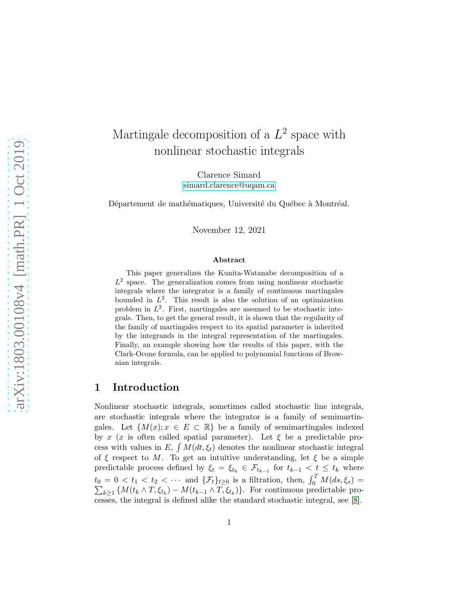# Martingale decomposition of a  $L^2$  space with nonlinear stochastic integrals

Clarence Simard [simard.clarence@uqam.ca](mailto:simard.clarence@uqam.ca)

Département de mathématiques, Université du Québec à Montréal.

November 12, 2021

#### Abstract

This paper generalizes the Kunita-Watanabe decomposition of a  $L^2$  space. The generalization comes from using nonlinear stochastic integrals where the integrator is a family of continuous martingales bounded in  $L^2$ . This result is also the solution of an optimization problem in  $L^2$ . First, martingales are assumed to be stochastic integrals. Then, to get the general result, it is shown that the regularity of the family of martingales respect to its spatial parameter is inherited by the integrands in the integral representation of the martingales. Finally, an example showing how the results of this paper, with the Clark-Ocone formula, can be applied to polynomial functions of Brownian integrals.

## 1 Introduction

Nonlinear stochastic integrals, sometimes called stochastic line integrals, are stochastic integrals where the integrator is a family of semimartingales. Let  $\{M(x); x \in E \subset \mathbb{R}\}\$ be a family of semimartingales indexed by x (x is often called spatial parameter). Let  $\xi$  be a predictable process with values in E,  $\int M(dt, \xi_t)$  denotes the nonlinear stochastic integral of  $\xi$  respect to M. To get an intuitive understanding, let  $\xi$  be a simple predictable process defined by  $\xi_t = \xi_{t_k} \in \mathcal{F}_{t_{k-1}}$  for  $t_{k-1} < t \leq t_k$  where  $t_0 = 0 < t_1 < t_2 < \cdots$  and  $\{\mathcal{F}_t\}_{t \geq 0}$  is a filtration, then,  $\int_0^T$  $\sum$  $\int_0^1 M(ds,\xi_s) =$  $\{M(t_k \wedge T, \xi_{t_k}) - M(t_{k-1} \wedge T, \xi_{t_k})\}\.$  For continuous predictable processes, the integral is defined alike the standard stochastic integral, see [\[8\]](#page-16-0).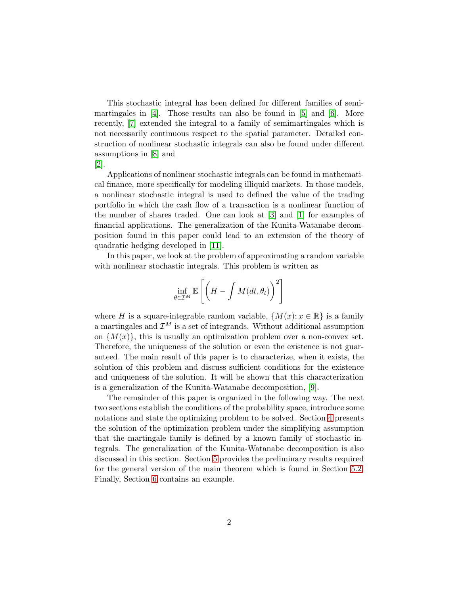This stochastic integral has been defined for different families of semi-martingales in [\[4\]](#page-15-0). Those results can also be found in [5] and [6]. More recently, [\[7\]](#page-15-1) extended the integral to a family of semimartingales which is not necessarily continuous respect to the spatial parameter. Detailed construction of nonlinear stochastic integrals can also be found under different assumptions in [\[8\]](#page-16-0) and

[2].

Applications of nonlinear stochastic integrals can be found in mathematical finance, more specifically for modeling illiquid markets. In those models, a nonlinear stochastic integral is used to defined the value of the trading portfolio in which the cash flow of a transaction is a nonlinear function of the number of shares traded. One can look at [3] and [1] for examples of financial applications. The generalization of the Kunita-Watanabe decomposition found in this paper could lead to an extension of the theory of quadratic hedging developed in [\[11\]](#page-16-1).

In this paper, we look at the problem of approximating a random variable with nonlinear stochastic integrals. This problem is written as

$$
\inf_{\theta \in \mathcal{I}^M} \mathbb{E}\left[\left(H - \int M(dt, \theta_t)\right)^2\right]
$$

where H is a square-integrable random variable,  $\{M(x); x \in \mathbb{R}\}\$ is a family a martingales and  $\mathcal{I}^M$  is a set of integrands. Without additional assumption on  $\{M(x)\}\$ , this is usually an optimization problem over a non-convex set. Therefore, the uniqueness of the solution or even the existence is not guaranteed. The main result of this paper is to characterize, when it exists, the solution of this problem and discuss sufficient conditions for the existence and uniqueness of the solution. It will be shown that this characterization is a generalization of the Kunita-Watanabe decomposition, [9].

The remainder of this paper is organized in the following way. The next two sections establish the conditions of the probability space, introduce some notations and state the optimizing problem to be solved. Section [4](#page-3-0) presents the solution of the optimization problem under the simplifying assumption that the martingale family is defined by a known family of stochastic integrals. The generalization of the Kunita-Watanabe decomposition is also discussed in this section. Section [5](#page-9-0) provides the preliminary results required for the general version of the main theorem which is found in Section [5.2.](#page-12-0) Finally, Section [6](#page-13-0) contains an example.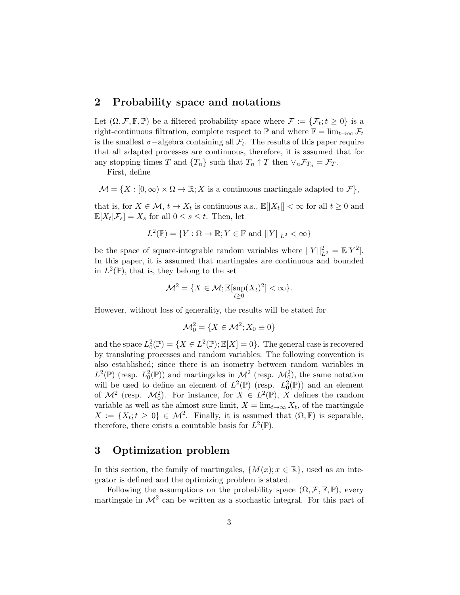## 2 Probability space and notations

Let  $(\Omega, \mathcal{F}, \mathbb{F}, \mathbb{P})$  be a filtered probability space where  $\mathcal{F} := {\mathcal{F}_t; t \geq 0}$  is a right-continuous filtration, complete respect to  $\mathbb{P}$  and where  $\mathbb{F} = \lim_{t\to\infty} \mathcal{F}_t$ is the smallest  $\sigma$ –algebra containing all  $\mathcal{F}_t$ . The results of this paper require that all adapted processes are continuous, therefore, it is assumed that for any stopping times T and  $\{T_n\}$  such that  $T_n \uparrow T$  then  $\vee_n \mathcal{F}_{T_n} = \mathcal{F}_T$ .

First, define

 $\mathcal{M} = \{X : [0, \infty) \times \Omega \to \mathbb{R}; X \text{ is a continuous martingale adapted to } \mathcal{F}\},\$ 

that is, for  $X \in \mathcal{M}$ ,  $t \to X_t$  is continuous a.s.,  $\mathbb{E}[|X_t|] < \infty$  for all  $t \geq 0$  and  $\mathbb{E}[X_t|\mathcal{F}_s] = X_s$  for all  $0 \leq s \leq t$ . Then, let

$$
L^{2}(\mathbb{P}) = \{ Y : \Omega \to \mathbb{R}; Y \in \mathbb{F} \text{ and } ||Y||_{L^{2}} < \infty \}
$$

be the space of square-integrable random variables where  $||Y||_{L^2}^2 = \mathbb{E}[Y^2]$ . In this paper, it is assumed that martingales are continuous and bounded in  $L^2(\mathbb{P})$ , that is, they belong to the set

$$
\mathcal{M}^2 = \{ X \in \mathcal{M}; \mathbb{E}[\sup_{t \ge 0} (X_t)^2] < \infty \}.
$$

However, without loss of generality, the results will be stated for

$$
\mathcal{M}_0^2 = \{ X \in \mathcal{M}^2; X_0 \equiv 0 \}
$$

and the space  $L_0^2(\mathbb{P}) = \{X \in L^2(\mathbb{P}); \mathbb{E}[X] = 0\}$ . The general case is recovered by translating processes and random variables. The following convention is also established; since there is an isometry between random variables in  $L^2(\mathbb{P})$  (resp.  $L_0^2(\mathbb{P})$ ) and martingales in  $\mathcal{M}^2$  (resp.  $\mathcal{M}_0^2$ ), the same notation will be used to define an element of  $L^2(\mathbb{P})$  (resp.  $L_0^2(\mathbb{P})$ ) and an element of  $\mathcal{M}^2$  (resp.  $\mathcal{M}_0^2$ ). For instance, for  $X \in L^2(\mathbb{P})$ , X defines the random variable as well as the almost sure limit,  $X = \lim_{t \to \infty} X_t$ , of the martingale  $X := \{X_t; t \geq 0\} \in \mathcal{M}^2$ . Finally, it is assumed that  $(\Omega, \mathbb{F})$  is separable, therefore, there exists a countable basis for  $L^2(\mathbb{P})$ .

#### 3 Optimization problem

In this section, the family of martingales,  $\{M(x); x \in \mathbb{R}\}\)$ , used as an integrator is defined and the optimizing problem is stated.

Following the assumptions on the probability space  $(\Omega, \mathcal{F}, \mathbb{F}, \mathbb{P})$ , every martingale in  $\mathcal{M}^2$  can be written as a stochastic integral. For this part of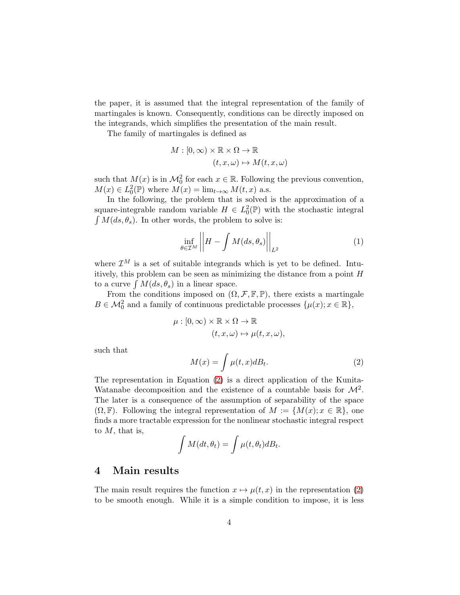the paper, it is assumed that the integral representation of the family of martingales is known. Consequently, conditions can be directly imposed on the integrands, which simplifies the presentation of the main result.

The family of martingales is defined as

$$
M : [0, \infty) \times \mathbb{R} \times \Omega \to \mathbb{R}
$$

$$
(t, x, \omega) \mapsto M(t, x, \omega)
$$

such that  $M(x)$  is in  $\mathcal{M}_0^2$  for each  $x \in \mathbb{R}$ . Following the previous convention,  $M(x) \in L_0^2(\mathbb{P})$  where  $M(x) = \lim_{t \to \infty} M(t, x)$  a.s.

In the following, the problem that is solved is the approximation of a square-integrable random variable  $H \in L_0^2(\mathbb{P})$  with the stochastic integral  $\int M(ds, \theta_s)$ . In other words, the problem to solve is:

<span id="page-3-2"></span>
$$
\inf_{\theta \in \mathcal{I}^M} \left| \left| H - \int M(ds, \theta_s) \right| \right|_{L^2} \tag{1}
$$

where  $\mathcal{I}^M$  is a set of suitable integrands which is yet to be defined. Intuitively, this problem can be seen as minimizing the distance from a point  $H$ to a curve  $\int M(ds, \theta_s)$  in a linear space.

From the conditions imposed on  $(\Omega, \mathcal{F}, \mathbb{F}, \mathbb{P})$ , there exists a martingale  $B \in \mathcal{M}_0^2$  and a family of continuous predictable processes  $\{\mu(x); x \in \mathbb{R}\},\$ 

$$
\mu : [0, \infty) \times \mathbb{R} \times \Omega \to \mathbb{R}
$$

$$
(t, x, \omega) \mapsto \mu(t, x, \omega),
$$

such that

<span id="page-3-1"></span>
$$
M(x) = \int \mu(t, x) dB_t.
$$
 (2)

The representation in Equation [\(2\)](#page-3-1) is a direct application of the Kunita-Watanabe decomposition and the existence of a countable basis for  $\mathcal{M}^2$ . The later is a consequence of the assumption of separability of the space  $(\Omega, \mathbb{F})$ . Following the integral representation of  $M := \{M(x); x \in \mathbb{R}\},\$  one finds a more tractable expression for the nonlinear stochastic integral respect to  $M$ , that is,

$$
\int M(dt, \theta_t) = \int \mu(t, \theta_t) dB_t.
$$

## <span id="page-3-0"></span>4 Main results

The main result requires the function  $x \mapsto \mu(t, x)$  in the representation [\(2\)](#page-3-1) to be smooth enough. While it is a simple condition to impose, it is less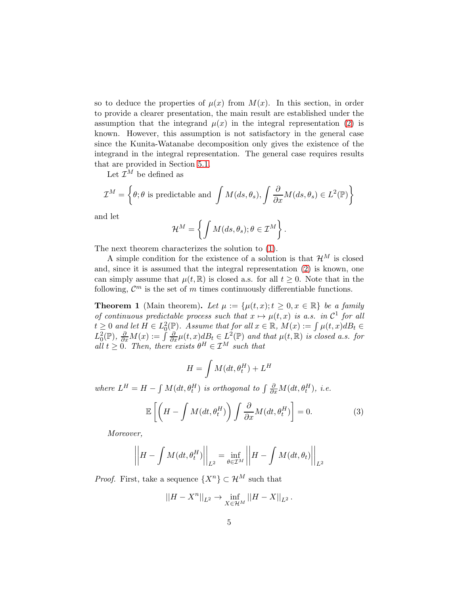so to deduce the properties of  $\mu(x)$  from  $M(x)$ . In this section, in order to provide a clearer presentation, the main result are established under the assumption that the integrand  $\mu(x)$  in the integral representation [\(2\)](#page-3-1) is known. However, this assumption is not satisfactory in the general case since the Kunita-Watanabe decomposition only gives the existence of the integrand in the integral representation. The general case requires results that are provided in Section [5.1.](#page-9-1)

Let  $\mathcal{I}^M$  be defined as

$$
\mathcal{I}^M = \left\{ \theta; \theta \text{ is predictable and } \int M(ds, \theta_s), \int \frac{\partial}{\partial x} M(ds, \theta_s) \in L^2(\mathbb{P}) \right\}
$$

and let

$$
\mathcal{H}^M = \left\{ \int M(ds, \theta_s); \theta \in \mathcal{I}^M \right\}.
$$

The next theorem characterizes the solution to [\(1\)](#page-3-2).

A simple condition for the existence of a solution is that  $\mathcal{H}^M$  is closed and, since it is assumed that the integral representation [\(2\)](#page-3-1) is known, one can simply assume that  $\mu(t, \mathbb{R})$  is closed a.s. for all  $t \geq 0$ . Note that in the following,  $\mathcal{C}^m$  is the set of m times continuously differentiable functions.

<span id="page-4-0"></span>**Theorem 1** (Main theorem). Let  $\mu := {\mu(t, x); t \geq 0, x \in \mathbb{R}}$  be a family of continuous predictable process such that  $x \mapsto \mu(t,x)$  is a.s. in  $\mathcal{C}^1$  for all  $t \geq 0$  and let  $H \in L_0^2(\mathbb{P})$ . Assume that for all  $x \in \mathbb{R}$ ,  $M(x) := \int \mu(t, x) dB_t \in$  $L_0^2(\mathbb{P}), \frac{\partial}{\partial x}M(x):=\int \frac{\partial}{\partial x}\mu(t,x)d\theta_t \in L^2(\mathbb{P})$  and that  $\mu(t,\mathbb{R})$  is closed a.s. for all  $t \geq 0$ . Then, there exists  $\theta^H \in \mathcal{I}^M$  such that

$$
H = \int M(dt, \theta_t^H) + L^H
$$

where  $L^H = H - \int M(dt, \theta_t^H)$  is orthogonal to  $\int \frac{\partial}{\partial x} M(dt, \theta_t^H)$ , i.e.

<span id="page-4-1"></span>
$$
\mathbb{E}\left[\left(H - \int M(dt, \theta_t^H) \right) \int \frac{\partial}{\partial x} M(dt, \theta_t^H) \right] = 0. \tag{3}
$$

Moreover,

$$
\left\| H - \int M(dt, \theta_t^H) \right\|_{L^2} = \inf_{\theta \in \mathcal{I}^M} \left\| H - \int M(dt, \theta_t) \right\|_{L^2}
$$

*Proof.* First, take a sequence  $\{X^n\} \subset \mathcal{H}^M$  such that

$$
||H - X^n||_{L^2} \to \inf_{X \in \mathcal{H}^M} ||H - X||_{L^2}.
$$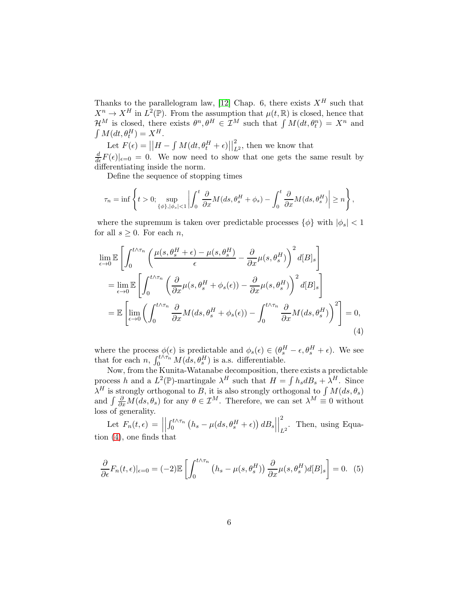Thanks to the parallelogram law, [\[12\]](#page-16-2) Chap. 6, there exists  $X^H$  such that  $X^n \to X^H$  in  $L^2(\mathbb{P})$ . From the assumption that  $\mu(t,\mathbb{R})$  is closed, hence that  $\mathcal{H}^M$  is closed, there exists  $\theta^n, \theta^H \in \mathcal{I}^M$  such that  $\int M(dt, \theta_t^n) = X^n$  and  $\int M(dt, \theta_t^H) = X^H.$ 

Let  $F(\epsilon) = ||H - \int M(dt, \theta_t^H + \epsilon)||$ 2  $\sum_{L^2}$ , then we know that  $\frac{d}{d\epsilon}F(\epsilon)|_{\epsilon=0} = 0$ . We now need to show that one gets the same result by differentiating inside the norm.

Define the sequence of stopping times

$$
\tau_n = \inf \left\{ t > 0; \sup_{\{\phi\}, |\phi_s| < 1} \left| \int_0^t \frac{\partial}{\partial x} M(ds, \theta_s^H + \phi_s) - \int_0^t \frac{\partial}{\partial x} M(ds, \theta_s^H) \right| \ge n \right\},\
$$

where the supremum is taken over predictable processes  $\{\phi\}$  with  $|\phi_s| < 1$ for all  $s \geq 0$ . For each *n*,

$$
\lim_{\epsilon \to 0} \mathbb{E} \left[ \int_0^{t \wedge \tau_n} \left( \frac{\mu(s, \theta_s^H + \epsilon) - \mu(s, \theta_s^H)}{\epsilon} - \frac{\partial}{\partial x} \mu(s, \theta_s^H) \right)^2 d[B]_s \right]
$$
  
\n
$$
= \lim_{\epsilon \to 0} \mathbb{E} \left[ \int_0^{t \wedge \tau_n} \left( \frac{\partial}{\partial x} \mu(s, \theta_s^H + \phi_s(\epsilon)) - \frac{\partial}{\partial x} \mu(s, \theta_s^H) \right)^2 d[B]_s \right]
$$
  
\n
$$
= \mathbb{E} \left[ \lim_{\epsilon \to 0} \left( \int_0^{t \wedge \tau_n} \frac{\partial}{\partial x} M(ds, \theta_s^H + \phi_s(\epsilon)) - \int_0^{t \wedge \tau_n} \frac{\partial}{\partial x} M(ds, \theta_s^H) \right)^2 \right] = 0,
$$
\n(4)

<span id="page-5-0"></span>where the process  $\phi(\epsilon)$  is predictable and  $\phi_s(\epsilon) \in (\theta_s^H - \epsilon, \theta_s^H + \epsilon)$ . We see that for each n,  $\int_0^{t \wedge \tau_n} M(ds, \theta_s^H)$  is a.s. differentiable.

Now, from the Kunita-Watanabe decomposition, there exists a predictable process h and a  $L^2(\mathbb{P})$ -martingale  $\lambda^H$  such that  $H = \int h_s dB_s + \lambda^H$ . Since  $\lambda^H$  is strongly orthogonal to B, it is also strongly orthogonal to  $\int M(ds, \theta_s)$ and  $\int \frac{\partial}{\partial x} M(ds, \theta_s)$  for any  $\theta \in \mathcal{I}^M$ . Therefore, we can set  $\lambda^M \equiv 0$  without loss of generality.

Let  $F_n(t, \epsilon) =$  $\begin{array}{c} \n\end{array}$  $\int_0^{t \wedge \tau_n} \left( h_s - \mu(ds, \theta^H_s + \epsilon) \right) dB_s$  $\begin{array}{c} \begin{array}{c} \begin{array}{c} \end{array}\\ \begin{array}{c} \end{array} \end{array} \end{array}$ 2  $L^2$ . Then, using Equation [\(4\)](#page-5-0), one finds that

<span id="page-5-1"></span>
$$
\frac{\partial}{\partial \epsilon} F_n(t,\epsilon)|_{\epsilon=0} = (-2)\mathbb{E}\left[\int_0^{t \wedge \tau_n} \left(h_s - \mu(s,\theta_s^H)\right) \frac{\partial}{\partial x}\mu(s,\theta_s^H)d[B]_s\right] = 0. \tag{5}
$$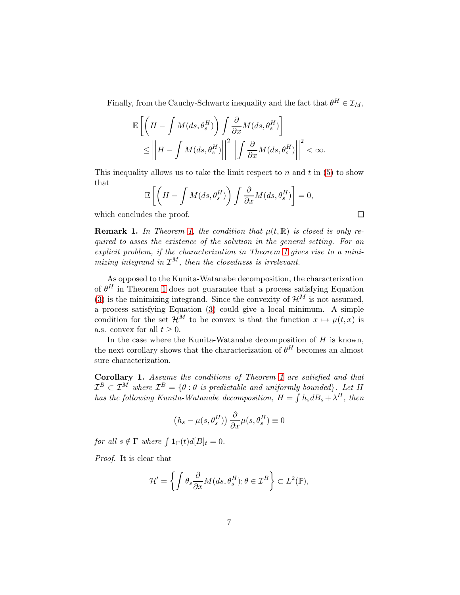Finally, from the Cauchy-Schwartz inequality and the fact that  $\theta^H \in \mathcal{I}_M$ ,

$$
\mathbb{E}\left[\left(H - \int M(ds, \theta_s^H) \right) \int \frac{\partial}{\partial x} M(ds, \theta_s^H) \right] \le \left\| H - \int M(ds, \theta_s^H) \right\|^2 \left\| \int \frac{\partial}{\partial x} M(ds, \theta_s^H) \right\|^2 < \infty.
$$

This inequality allows us to take the limit respect to  $n$  and  $t$  in [\(5\)](#page-5-1) to show that

$$
\mathbb{E}\left[\left(H - \int M(ds, \theta_s^H)\right) \int \frac{\partial}{\partial x} M(ds, \theta_s^H)\right] = 0,
$$

 $\Box$ 

which concludes the proof.

**Remark 1.** In Theorem [1,](#page-4-0) the condition that  $\mu(t,\mathbb{R})$  is closed is only required to asses the existence of the solution in the general setting. For an explicit problem, if the characterization in Theorem [1](#page-4-0) gives rise to a minimizing integrand in  $\mathcal{I}^M$ , then the closedness is irrelevant.

As opposed to the Kunita-Watanabe decomposition, the characterization of  $\theta^H$  in Theorem [1](#page-4-0) does not guarantee that a process satisfying Equation [\(3\)](#page-4-1) is the minimizing integrand. Since the convexity of  $\mathcal{H}^M$  is not assumed, a process satisfying Equation [\(3\)](#page-4-1) could give a local minimum. A simple condition for the set  $\mathcal{H}^M$  to be convex is that the function  $x \mapsto \mu(t, x)$  is a.s. convex for all  $t \geq 0$ .

In the case where the Kunita-Watanabe decomposition of  $H$  is known, the next corollary shows that the characterization of  $\theta^H$  becomes an almost sure characterization.

<span id="page-6-0"></span>Corollary 1. Assume the conditions of Theorem [1](#page-4-0) are satisfied and that  $\mathcal{I}^B \subset \mathcal{I}^M$  where  $\mathcal{I}^B = \{\theta : \theta \text{ is predictable and uniformly bounded}\}.$  Let H has the following Kunita-Watanabe decomposition,  $H = \int h_s dB_s + \lambda^H$ , then

$$
(h_s - \mu(s, \theta_s^H)) \frac{\partial}{\partial x} \mu(s, \theta_s^H) \equiv 0
$$

for all  $s \notin \Gamma$  where  $\int \mathbf{1}_{\Gamma}(t) d[B]_t = 0.$ 

Proof. It is clear that

$$
\mathcal{H}' = \left\{ \int \theta_s \frac{\partial}{\partial x} M(ds, \theta_s^H); \theta \in \mathcal{I}^B \right\} \subset L^2(\mathbb{P}),
$$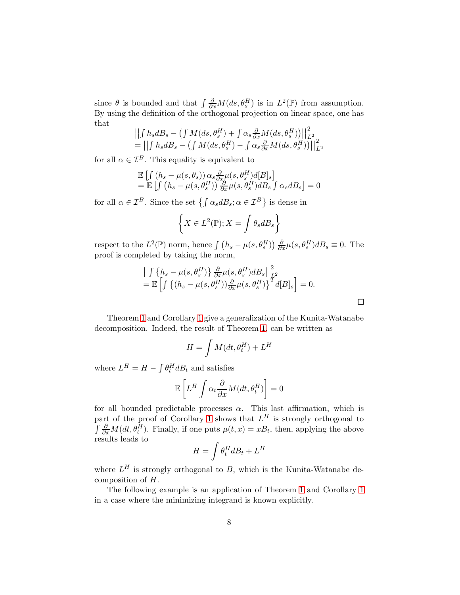since  $\theta$  is bounded and that  $\int \frac{\partial}{\partial x} M(ds, \theta_s^H)$  is in  $L^2(\mathbb{P})$  from assumption. By using the definition of the orthogonal projection on linear space, one has that

$$
\left\| \int h_s dB_s - \left( \int M(ds, \theta_s^H) + \int \alpha_s \frac{\partial}{\partial x} M(ds, \theta_s^H) \right) \right\|_{L^2}^2
$$
  
= 
$$
\left\| \int h_s dB_s - \left( \int M(ds, \theta_s^H) - \int \alpha_s \frac{\partial}{\partial x} M(ds, \theta_s^H) \right) \right\|_{L^2}^2
$$

for all  $\alpha \in \mathcal{I}^B$ . This equality is equivalent to

$$
\mathbb{E}\left[\int\left(h_s-\mu(s,\theta_s)\right)\alpha_s\frac{\partial}{\partial x}\mu(s,\theta_s^H)d[B]_s\right] = \mathbb{E}\left[\int\left(h_s-\mu(s,\theta_s^H)\right)\frac{\partial}{\partial x}\mu(s,\theta_s^H)dB_s\int\alpha_s dB_s\right] = 0
$$

for all  $\alpha \in \mathcal{I}^B$ . Since the set  $\{\int \alpha_s dB_s; \alpha \in \mathcal{I}^B\}$  is dense in

$$
\left\{X \in L^2(\mathbb{P}); X = \int \theta_s dB_s \right\}
$$

respect to the  $L^2(\mathbb{P})$  norm, hence  $\int (h_s - \mu(s, \theta_s^H)) \frac{\partial}{\partial x} \mu(s, \theta_s^H) dB_s \equiv 0$ . The proof is completed by taking the norm,

$$
\left\| \int \left\{ h_s - \mu(s, \theta_s^H) \right\} \frac{\partial}{\partial x} \mu(s, \theta_s^H) dB_s \right\|_{L^2}^2
$$
  
=  $\mathbb{E} \left[ \int \left\{ (h_s - \mu(s, \theta_s^H)) \frac{\partial}{\partial x} \mu(s, \theta_s^H) \right\}^2 d[B]_s \right] = 0.$ 

 $\Box$ 

Theorem [1](#page-4-0) and Corollary [1](#page-6-0) give a generalization of the Kunita-Watanabe decomposition. Indeed, the result of Theorem [1,](#page-4-0) can be written as

$$
H = \int M(dt, \theta_t^H) + L^H
$$

where  $L^H = H - \int \theta_t^H dB_t$  and satisfies

$$
\mathbb{E}\left[L^H \int \alpha_t \frac{\partial}{\partial x} M(dt, \theta_t^H)\right] = 0
$$

for all bounded predictable processes  $\alpha$ . This last affirmation, which is part of the proof of Corollary [1](#page-6-0) shows that  $L^H$  is strongly orthogonal to  $\int \frac{\partial}{\partial x} M(dt, \theta_t^H)$ . Finally, if one puts  $\mu(t, x) = xB_t$ , then, applying the above results leads to

$$
H = \int \theta_t^H dB_t + L^H
$$

where  $L^H$  is strongly orthogonal to B, which is the Kunita-Watanabe decomposition of H.

The following example is an application of Theorem [1](#page-4-0) and Corollary [1](#page-6-0) in a case where the minimizing integrand is known explicitly.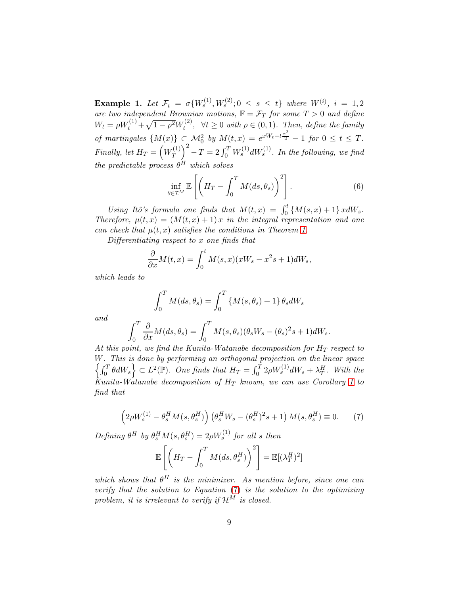Example 1. Let  $\mathcal{F}_t = \sigma\{W_s^{(1)}, W_s^{(2)}; 0 \le s \le t\}$  where  $W^{(i)}$ ,  $i = 1, 2$ are two independent Brownian motions,  $\mathbb{F} = \mathcal{F}_T$  for some  $T > 0$  and define  $W_t = \rho W_t^{(1)} + \sqrt{1 - \rho^2} W_t^{(2)}$  $t^{(2)}$ ,  $\forall t \geq 0$  with  $\rho \in (0,1)$ . Then, define the family of martingales  $\{M(x)\}\subset \mathcal{M}_0^2$  by  $M(t,x)=e^{xW_t-t\frac{x^2}{2}}-1$  for  $0\leq t\leq T$ . Finally, let  $H_T = \left( W_T^{(1)} \right)$  $\left(T^{(1)}_{T}\right)^2 - T = 2 \int_0^T W^{(1)}_s dW^{(1)}_s$ . In the following, we find the predictable process  $\theta^H$  which solves

$$
\inf_{\theta \in \mathcal{I}^M} \mathbb{E}\left[\left(H_T - \int_0^T M(ds, \theta_s)\right)^2\right].\tag{6}
$$

Using Itô's formula one finds that  $M(t,x) = \int_0^t \{M(s,x) + 1\} x dW_s$ . Therefore,  $\mu(t,x) = (M(t,x) + 1)x$  in the integral representation and one can check that  $\mu(t, x)$  satisfies the conditions in Theorem [1.](#page-4-0)

Differentiating respect to x one finds that

$$
\frac{\partial}{\partial x}M(t,x) = \int_0^t M(s,x)(xW_s - x^2s + 1)dW_s,
$$

which leads to

$$
\int_0^T M(ds, \theta_s) = \int_0^T \{M(s, \theta_s) + 1\} \theta_s dW_s
$$

and

$$
\int_0^T \frac{\partial}{\partial x} M(ds, \theta_s) = \int_0^T M(s, \theta_s) (\theta_s W_s - (\theta_s)^2 s + 1) dW_s.
$$

At this point, we find the Kunita-Watanabe decomposition for  $H_T$  respect to W n . This is done by performing an orthogonal projection on the linear space  $\int_0^T \theta dW_s \Big\} \subset L^2(\mathbb{P})$ . One finds that  $H_T = \int_0^T 2 \rho W_s^{(1)} dW_s + \lambda_T^H$ . With the Kunita-Watanabe decomposition of  $H_T$  known, we can use Corollary [1](#page-6-0) to find that

<span id="page-8-0"></span>
$$
\left(2\rho W_s^{(1)} - \theta_s^H M(s, \theta_s^H)\right) \left(\theta_s^H W_s - (\theta_s^H)^2 s + 1\right) M(s, \theta_s^H) \equiv 0. \tag{7}
$$

Defining  $\theta^H$  by  $\theta_s^H M(s, \theta_s^H) = 2 \rho W_s^{(1)}$  for all s then

$$
\mathbb{E}\left[\left(H_T - \int_0^T M(ds, \theta_s^H)\right)^2\right] = \mathbb{E}[(\lambda_T^H)^2]
$$

which shows that  $\theta^H$  is the minimizer. As mention before, since one can verify that the solution to Equation [\(7\)](#page-8-0) is the solution to the optimizing problem, it is irrelevant to verify if  $\mathcal{H}^M$  is closed.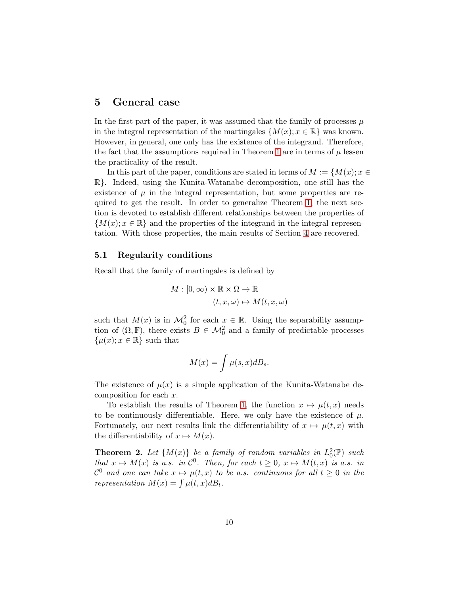## <span id="page-9-0"></span>5 General case

In the first part of the paper, it was assumed that the family of processes  $\mu$ in the integral representation of the martingales  $\{M(x); x \in \mathbb{R}\}\$  was known. However, in general, one only has the existence of the integrand. Therefore, the fact that the assumptions required in Theorem [1](#page-4-0) are in terms of  $\mu$  lessen the practicality of the result.

In this part of the paper, conditions are stated in terms of  $M := \{M(x); x \in$ R}. Indeed, using the Kunita-Watanabe decomposition, one still has the existence of  $\mu$  in the integral representation, but some properties are required to get the result. In order to generalize Theorem [1,](#page-4-0) the next section is devoted to establish different relationships between the properties of  ${M(x); x \in \mathbb{R}}$  and the properties of the integrand in the integral representation. With those properties, the main results of Section [4](#page-3-0) are recovered.

#### <span id="page-9-1"></span>5.1 Regularity conditions

Recall that the family of martingales is defined by

$$
M : [0, \infty) \times \mathbb{R} \times \Omega \to \mathbb{R}
$$

$$
(t, x, \omega) \mapsto M(t, x, \omega)
$$

such that  $M(x)$  is in  $\mathcal{M}_0^2$  for each  $x \in \mathbb{R}$ . Using the separability assumption of  $(\Omega, \mathbb{F})$ , there exists  $B \in \mathcal{M}^2_0$  and a family of predictable processes  $\{\mu(x); x \in \mathbb{R}\}\$  such that

$$
M(x) = \int \mu(s, x) dB_s.
$$

The existence of  $\mu(x)$  is a simple application of the Kunita-Watanabe decomposition for each x.

To establish the results of Theorem [1,](#page-4-0) the function  $x \mapsto \mu(t, x)$  needs to be continuously differentiable. Here, we only have the existence of  $\mu$ . Fortunately, our next results link the differentiability of  $x \mapsto \mu(t, x)$  with the differentiability of  $x \mapsto M(x)$ .

<span id="page-9-2"></span>**Theorem 2.** Let  $\{M(x)\}\$ be a family of random variables in  $L_0^2(\mathbb{P})$  such that  $x \mapsto M(x)$  is a.s. in  $\mathcal{C}^0$ . Then, for each  $t \geq 0$ ,  $x \mapsto M(t, x)$  is a.s. in  $\mathcal{C}^0$  and one can take  $x \mapsto \mu(t,x)$  to be a.s. continuous for all  $t \geq 0$  in the representation  $M(x) = \int \mu(t, x) dB_t$ .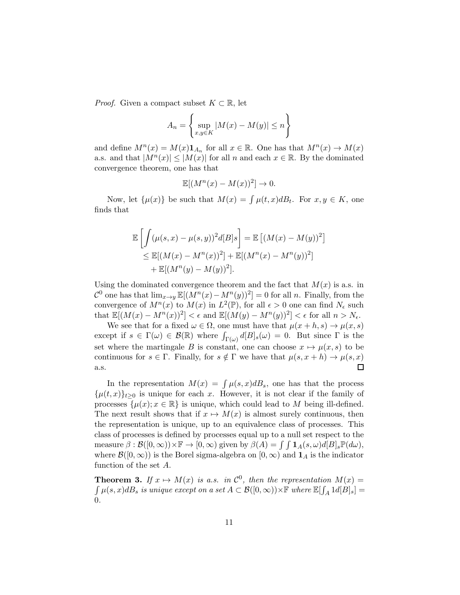*Proof.* Given a compact subset  $K \subset \mathbb{R}$ , let

$$
A_n = \left\{ \sup_{x,y \in K} |M(x) - M(y)| \le n \right\}
$$

and define  $M^n(x) = M(x) \mathbf{1}_{A_n}$  for all  $x \in \mathbb{R}$ . One has that  $M^n(x) \to M(x)$ a.s. and that  $|M^n(x)| \leq |M(x)|$  for all n and each  $x \in \mathbb{R}$ . By the dominated convergence theorem, one has that

$$
\mathbb{E}[(M^n(x) - M(x))^2] \to 0.
$$

Now, let  $\{\mu(x)\}\$  be such that  $M(x) = \int \mu(t, x) dB_t$ . For  $x, y \in K$ , one finds that

$$
\mathbb{E}\left[\int (\mu(s,x) - \mu(s,y))^2 d[B]s\right] = \mathbb{E}\left[(M(x) - M(y))^2\right] \leq \mathbb{E}[(M(x) - M^n(x))^2] + \mathbb{E}[(M^n(x) - M^n(y))^2] \quad + \mathbb{E}[(M^n(y) - M(y))^2].
$$

Using the dominated convergence theorem and the fact that  $M(x)$  is a.s. in  $\mathcal{C}^0$  one has that  $\lim_{x\to y} \mathbb{E}[(M^n(x)-M^n(y))^2]=0$  for all n. Finally, from the convergence of  $M^n(x)$  to  $M(x)$  in  $L^2(\mathbb{P})$ , for all  $\epsilon > 0$  one can find  $N_{\epsilon}$  such that  $\mathbb{E}[(M(x) - M^n(x))^2] < \epsilon$  and  $\mathbb{E}[(M(y) - M^n(y))^2] < \epsilon$  for all  $n > N_{\epsilon}$ .

We see that for a fixed  $\omega \in \Omega$ , one must have that  $\mu(x+h,s) \to \mu(x,s)$ except if  $s \in \Gamma(\omega) \in \mathcal{B}(\mathbb{R})$  where  $\int_{\Gamma(\omega)} d[B]_s(\omega) = 0$ . But since  $\Gamma$  is the set where the martingale B is constant, one can choose  $x \mapsto \mu(x, s)$  to be continuous for  $s \in \Gamma$ . Finally, for  $s \notin \Gamma$  we have that  $\mu(s, x + h) \to \mu(s, x)$  $\Box$ a.s.

In the representation  $M(x) = \int \mu(s, x) dB_s$ , one has that the process  $\{\mu(t,x)\}_{t>0}$  is unique for each x. However, it is not clear if the family of processes  $\{\mu(x); x \in \mathbb{R}\}\$ is unique, which could lead to M being ill-defined. The next result shows that if  $x \mapsto M(x)$  is almost surely continuous, then the representation is unique, up to an equivalence class of processes. This class of processes is defined by processes equal up to a null set respect to the measure  $\beta : \mathcal{B}([0,\infty)) \times \mathbb{F} \to [0,\infty)$  given by  $\beta(A) = \int \int \mathbf{1}_A(s,\omega) d[B]_s \mathbb{P}(d\omega)$ , where  $\mathcal{B}([0,\infty))$  is the Borel sigma-algebra on  $[0,\infty)$  and  $\mathbf{1}_A$  is the indicator function of the set A.

**Theorem 3.** If  $x \mapsto M(x)$  is a.s. in  $\mathcal{C}^0$ , then the representation  $M(x) =$  $\int \mu(s,x)dB_s$  is unique except on a set  $A \subset \mathcal{B}([0,\infty)) \times \mathbb{F}$  where  $\mathbb{E}[\int_A 1d[B]_s] =$ 0.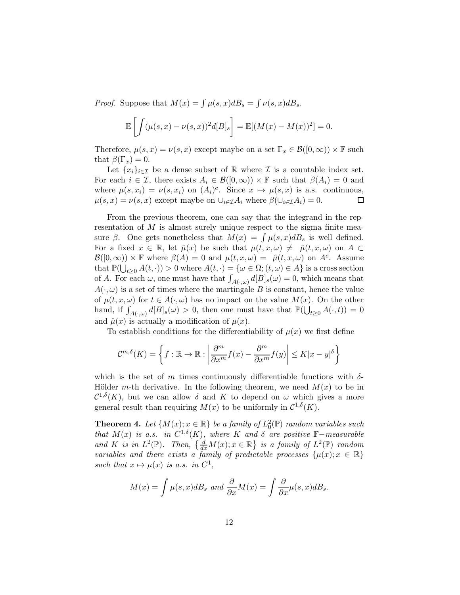*Proof.* Suppose that  $M(x) = \int \mu(s, x) dB_s = \int \nu(s, x) dB_s$ .

$$
\mathbb{E}\left[\int (\mu(s,x)-\nu(s,x))^2 d[B]_s\right] = \mathbb{E}[(M(x)-M(x))^2] = 0.
$$

Therefore,  $\mu(s, x) = \nu(s, x)$  except maybe on a set  $\Gamma_x \in \mathcal{B}([0, \infty)) \times \mathbb{F}$  such that  $\beta(\Gamma_x) = 0$ .

Let  $\{x_i\}_{i\in\mathcal{I}}$  be a dense subset of R where  $\mathcal I$  is a countable index set. For each  $i \in \mathcal{I}$ , there exists  $A_i \in \mathcal{B}([0,\infty)) \times \mathbb{F}$  such that  $\beta(A_i) = 0$  and where  $\mu(s, x_i) = \nu(s, x_i)$  on  $(A_i)^c$ . Since  $x \mapsto \mu(s, x)$  is a.s. continuous,  $\mu(s,x) = \nu(s,x)$  except maybe on  $\bigcup_{i \in \mathcal{I}} A_i$  where  $\beta(\bigcup_{i \in \mathcal{I}} A_i) = 0$ .  $\Box$ 

From the previous theorem, one can say that the integrand in the representation of  $M$  is almost surely unique respect to the sigma finite measure  $\beta$ . One gets nonetheless that  $M(x) = \int \mu(s, x) dB_s$  is well defined. For a fixed  $x \in \mathbb{R}$ , let  $\hat{\mu}(x)$  be such that  $\mu(t, x, \omega) \neq \hat{\mu}(t, x, \omega)$  on  $A \subset$  $\mathcal{B}([0,\infty)) \times \mathbb{F}$  where  $\beta(A) = 0$  and  $\mu(t,x,\omega) = \hat{\mu}(t,x,\omega)$  on  $A^c$ . Assume that  $\mathbb{P}(\bigcup_{t\geq 0} A(t,\cdot)) > 0$  where  $A(t,\cdot) = {\omega \in \Omega}; (t,\omega) \in A}$  is a cross section of A. For each  $\omega$ , one must have that  $\int_{A(\cdot,\omega)} d[B]_s(\omega) = 0$ , which means that  $A(\cdot,\omega)$  is a set of times where the martingale B is constant, hence the value of  $\mu(t, x, \omega)$  for  $t \in A(\cdot, \omega)$  has no impact on the value  $M(x)$ . On the other hand, if  $\int_{A(\cdot,\omega)} d[B]_s(\omega) > 0$ , then one must have that  $\mathbb{P}(\bigcup_{t\geq 0} A(\cdot,t)) = 0$ and  $\hat{\mu}(x)$  is actually a modification of  $\mu(x)$ .

To establish conditions for the differentiability of  $\mu(x)$  we first define

$$
\mathcal{C}^{m,\delta}(K) = \left\{ f : \mathbb{R} \to \mathbb{R} : \left| \frac{\partial^m}{\partial x^m} f(x) - \frac{\partial^m}{\partial x^m} f(y) \right| \le K |x - y|^\delta \right\}
$$

which is the set of m times continuously differentiable functions with  $\delta$ -Hölder m-th derivative. In the following theorem, we need  $M(x)$  to be in  $\mathcal{C}^{1,\delta}(K)$ , but we can allow  $\delta$  and  $K$  to depend on  $\omega$  which gives a more general result than requiring  $M(x)$  to be uniformly in  $\mathcal{C}^{1,\delta}(K)$ .

<span id="page-11-0"></span>**Theorem 4.** Let  $\{M(x); x \in \mathbb{R}\}$  be a family of  $L_0^2(\mathbb{P})$  random variables such that  $M(x)$  is a.s. in  $C^{1,\delta}(K)$ , where K and  $\delta$  are positive  $\mathbb{F}-$ measurable and K is in  $L^2(\mathbb{P})$ . Then,  $\left\{\frac{d}{dx}M(x); x \in \mathbb{R}\right\}$  is a family of  $L^2(\mathbb{P})$  random variables and there exists a family of predictable processes  $\{\mu(x); x \in \mathbb{R}\}\$ such that  $x \mapsto \mu(x)$  is a.s. in  $C^1$ ,

$$
M(x) = \int \mu(s, x) dB_s \text{ and } \frac{\partial}{\partial x} M(x) = \int \frac{\partial}{\partial x} \mu(s, x) dB_s.
$$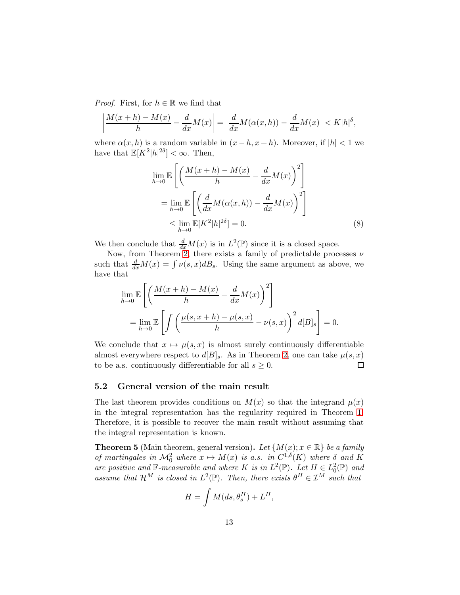*Proof.* First, for  $h \in \mathbb{R}$  we find that

$$
\left|\frac{M(x+h)-M(x)}{h}-\frac{d}{dx}M(x)\right|=\left|\frac{d}{dx}M(\alpha(x,h))-\frac{d}{dx}M(x)\right|
$$

where  $\alpha(x, h)$  is a random variable in  $(x - h, x + h)$ . Moreover, if  $|h| < 1$  we have that  $\mathbb{E}[K^2|h|^{2\delta}] < \infty$ . Then,

$$
\lim_{h \to 0} \mathbb{E}\left[\left(\frac{M(x+h) - M(x)}{h} - \frac{d}{dx}M(x)\right)^2\right]
$$

$$
= \lim_{h \to 0} \mathbb{E}\left[\left(\frac{d}{dx}M(\alpha(x,h)) - \frac{d}{dx}M(x)\right)^2\right]
$$

$$
\leq \lim_{h \to 0} \mathbb{E}[K^2|h|^{2\delta}] = 0.
$$
(8)

We then conclude that  $\frac{d}{dx}M(x)$  is in  $L^2(\mathbb{P})$  since it is a closed space.

Now, from Theorem [2,](#page-9-2) there exists a family of predictable processes  $\nu$ such that  $\frac{d}{dx}M(x) = \int \nu(s, x)dB_s$ . Using the same argument as above, we have that

$$
\lim_{h \to 0} \mathbb{E}\left[\left(\frac{M(x+h) - M(x)}{h} - \frac{d}{dx}M(x)\right)^2\right]
$$
  
= 
$$
\lim_{h \to 0} \mathbb{E}\left[\int \left(\frac{\mu(s, x+h) - \mu(s, x)}{h} - \nu(s, x)\right)^2 d[B]_s\right] = 0.
$$

We conclude that  $x \mapsto \mu(s, x)$  is almost surely continuously differentiable almost everywhere respect to  $d[B]_s$ . As in Theorem [2,](#page-9-2) one can take  $\mu(s, x)$ to be a.s. continuously differentiable for all  $s \geq 0$ .  $\Box$ 

#### <span id="page-12-0"></span>5.2 General version of the main result

The last theorem provides conditions on  $M(x)$  so that the integrand  $\mu(x)$ in the integral representation has the regularity required in Theorem [1.](#page-4-0) Therefore, it is possible to recover the main result without assuming that the integral representation is known.

<span id="page-12-1"></span>**Theorem 5** (Main theorem, general version). Let  $\{M(x); x \in \mathbb{R}\}\$  be a family of martingales in  $\mathcal{M}_0^2$  where  $x \mapsto M(x)$  is a.s. in  $C^{1,\delta}(K)$  where  $\delta$  and  $K$ are positive and  $\mathbb{F}\text{-}measurable$  and where K is in  $L^2(\mathbb{P})$ . Let  $H \in L^2_0(\mathbb{P})$  and assume that  $\mathcal{H}^M$  is closed in  $L^2(\mathbb{P})$ . Then, there exists  $\theta^H \in \mathcal{I}^M$  such that

$$
H = \int M(ds, \theta_s^H) + L^H,
$$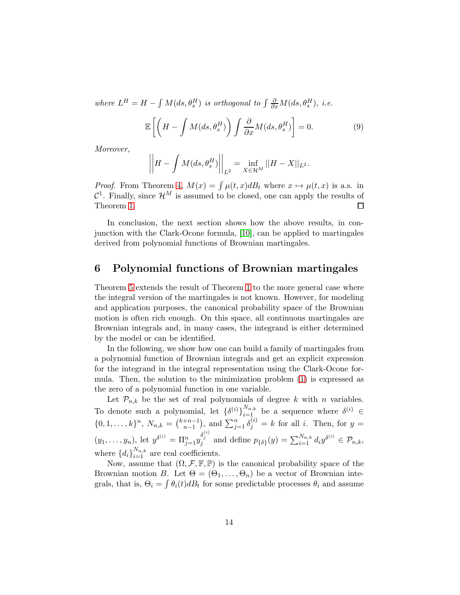where  $L^H = H - \int M(ds, \theta_s^H)$  is orthogonal to  $\int \frac{\partial}{\partial x} M(ds, \theta_s^H)$ , i.e.

$$
\mathbb{E}\left[\left(H - \int M(ds, \theta_s^H) \right) \int \frac{\partial}{\partial x} M(ds, \theta_s^H) \right] = 0. \tag{9}
$$

Moreover,

$$
\left\|H - \int M(ds, \theta_s^H) \right\|_{L^2} = \inf_{X \in \mathcal{H}^M} ||H - X||_{L^2}.
$$

*Proof.* From Theorem [4,](#page-11-0)  $M(x) = \int \mu(t, x) dB_t$  where  $x \mapsto \mu(t, x)$  is a.s. in  $\mathcal{C}^1$ . Finally, since  $\mathcal{H}^M$  is assumed to be closed, one can apply the results of Theorem [1.](#page-4-0)  $\Box$ 

In conclusion, the next section shows how the above results, in conjunction with the Clark-Ocone formula, [\[10\]](#page-16-3), can be applied to martingales derived from polynomial functions of Brownian martingales.

## <span id="page-13-0"></span>6 Polynomial functions of Brownian martingales

Theorem [5](#page-12-1) extends the result of Theorem [1](#page-4-0) to the more general case where the integral version of the martingales is not known. However, for modeling and application purposes, the canonical probability space of the Brownian motion is often rich enough. On this space, all continuous martingales are Brownian integrals and, in many cases, the integrand is either determined by the model or can be identified.

In the following, we show how one can build a family of martingales from a polynomial function of Brownian integrals and get an explicit expression for the integrand in the integral representation using the Clark-Ocone formula. Then, the solution to the minimization problem [\(1\)](#page-3-2) is expressed as the zero of a polynomial function in one variable.

Let  $\mathcal{P}_{n,k}$  be the set of real polynomials of degree k with n variables. To denote such a polynomial, let  $\{\delta^{(i)}\}_{i=1}^{N_{n,k}}$  be a sequence where  $\delta^{(i)} \in$  $\{0, 1, \ldots, k\}^n$ ,  $N_{n,k} = {k+n-1 \choose n-1}$  $\binom{m+1}{n-1}$ , and  $\sum_{j=1}^{n} \delta_j^{(i)} = k$  for all *i*. Then, for  $y =$  $(y_1, \ldots, y_n)$ , let  $y^{\delta^{(i)}} = \prod_{j=1}^n y_j^{\delta^{(i)}}$  and define  $p_{\{\delta\}}(y) = \sum_{i=1}^{N_{n,k}} d_i y^{\delta^{(i)}} \in \mathcal{P}_{n,k}$ , where  ${d_i}_{i=1}^{N_{n,k}}$  are real coefficients.

Now, assume that  $(\Omega, \mathcal{F}, \mathbb{F}, \mathbb{P})$  is the canonical probability space of the Brownian motion B. Let  $\Theta = (\Theta_1, \ldots, \Theta_n)$  be a vector of Brownian integrals, that is,  $\Theta_i = \int \theta_i(t) dB_t$  for some predictable processes  $\theta_i$  and assume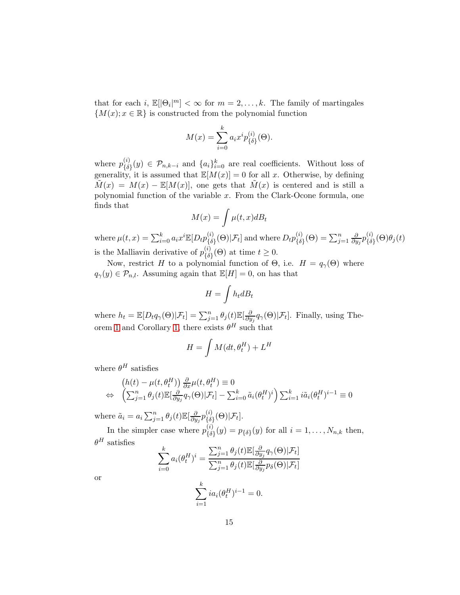that for each i,  $\mathbb{E}[\Theta_i]^m] < \infty$  for  $m = 2, ..., k$ . The family of martingales  ${M(x); x \in \mathbb{R}}$  is constructed from the polynomial function

$$
M(x) = \sum_{i=0}^{k} a_i x^i p_{\{\delta\}}^{(i)}(\Theta).
$$

where  $p_{\scriptscriptstyle{I}\delta}^{(i)}$  ${\{\delta\}}(y) \in \mathcal{P}_{n,k-i}$  and  $\{a_i\}_{i=0}^k$  are real coefficients. Without loss of generality, it is assumed that  $\mathbb{E}[M(x)] = 0$  for all x. Otherwise, by defining  $\tilde{M}(x) = M(x) - \mathbb{E}[M(x)],$  one gets that  $\tilde{M}(x)$  is centered and is still a polynomial function of the variable  $x$ . From the Clark-Ocone formula, one finds that

$$
M(x) = \int \mu(t, x) dB_t
$$

where  $\mu(t,x)=\sum_{i=0}^ka_ix^i\mathbb{E}[D_tp_{\{\delta}}^{(i)}]$  $\mathcal{E}^{(i)}_{\{\delta\}}(\Theta)|\mathcal{F}_{t}]$  and where  $D_{t}p^{(i)}_{\{\delta\}}$  $\binom{i}{\delta}(\Theta)=\sum_{j=1}^n\frac{\partial}{\partial y_j}$  $\frac{\partial}{\partial y_j} p_{\{\delta\}}^{(i)}$  $\genfrac{\{}{\}}{0pt}{1}{\{\delta\}}(\Theta)\theta_j(t)$ is the Malliavin derivative of  $p_{I\delta}^{(i)}$  ${t \choose {\delta}} (\Theta)$  at time  $t \geq 0$ .

Now, restrict H to a polynomial function of  $\Theta$ , i.e.  $H = q_{\gamma}(\Theta)$  where  $q_{\gamma}(y) \in \mathcal{P}_{n,l}$ . Assuming again that  $\mathbb{E}[H] = 0$ , on has that

$$
H = \int h_t dB_t
$$

where  $h_t = \mathbb{E}[D_t q_{\gamma}(\Theta)|\mathcal{F}_t] = \sum_{j=1}^n \theta_j(t) \mathbb{E}[\frac{\partial}{\partial y}]$  $\frac{\partial}{\partial y_j} q_{\gamma}(\Theta) | \mathcal{F}_t]$ . Finally, using The-orem [1](#page-4-0) and Corollary [1,](#page-6-0) there exists  $\theta^H$  such that

$$
H = \int M(dt, \theta_t^H) + L^H
$$

where  $\theta^H$  satisfies

$$
(h(t) - \mu(t, \theta_t^H)) \frac{\partial}{\partial x} \mu(t, \theta_t^H) \equiv 0
$$
  
\n
$$
\Leftrightarrow \left(\sum_{j=1}^n \theta_j(t) \mathbb{E}[\frac{\partial}{\partial y_j} q_\gamma(\Theta) | \mathcal{F}_t] - \sum_{i=0}^k \tilde{a}_i(\theta_t^H)^i \right) \sum_{i=1}^k i \tilde{a}_i(\theta_t^H)^{i-1} \equiv 0
$$

where  $\tilde{a}_i = a_i \sum_{j=1}^n \theta_j(t) \mathbb{E}[\frac{\partial}{\partial y_i}]$  $\frac{\partial}{\partial y_j} p_{\{\delta\}}^{(i)}$  $\frac{\partial}{\partial \delta}(\Theta)|\mathcal{F}_t].$ 

In the simpler case where  $p_{I\delta}^{(i)}$  ${\delta_{\{\delta\}}(y) = p_{\{\delta\}}(y)$  for all  $i = 1, ..., N_{n,k}$  then,  $\theta^H$  satisfies

$$
\sum_{i=0}^{k} a_i(\theta_t^H)^i = \frac{\sum_{j=1}^{n} \theta_j(t) \mathbb{E}[\frac{\partial}{\partial y_j} q_\gamma(\Theta) | \mathcal{F}_t]}{\sum_{j=1}^{n} \theta_j(t) \mathbb{E}[\frac{\partial}{\partial y_j} p_\delta(\Theta) | \mathcal{F}_t]}
$$

or

$$
\sum_{i=1}^{k} i a_i (\theta_t^H)^{i-1} = 0.
$$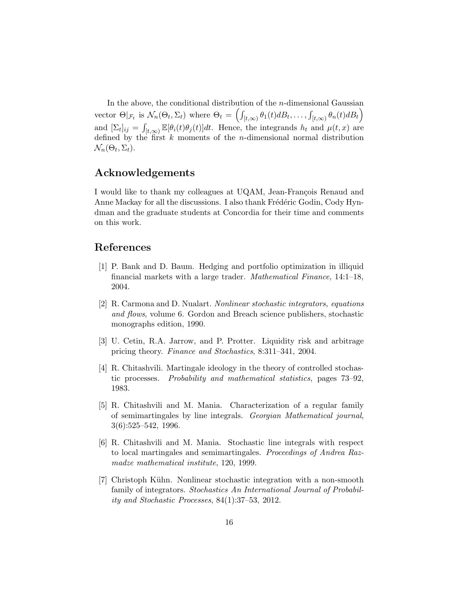In the above, the conditional distribution of the  $n$ -dimensional Gaussian vector  $\Theta|_{\mathcal{F}_t}$  is  $\mathcal{N}_n(\Theta_t, \Sigma_t)$  where  $\Theta_t = \left( \int_{[t,\infty)} \theta_1(t) dB_t, \ldots, \int_{[t,\infty)} \theta_n(t) dB_t \right)$ and  $[\Sigma_t]_{ij} = \int_{[t,\infty)} \mathbb{E}[\theta_i(t)\theta_j(t)]dt$ . Hence, the integrands  $h_t$  and  $\mu(t,x)$  are defined by the first  $k$  moments of the *n*-dimensional normal distribution  $\mathcal{N}_n(\Theta_t, \Sigma_t)$ .

# Acknowledgements

I would like to thank my colleagues at UQAM, Jean-François Renaud and Anne Mackay for all the discussions. I also thank Frédéric Godin, Cody Hyndman and the graduate students at Concordia for their time and comments on this work.

## References

- [1] P. Bank and D. Baum. Hedging and portfolio optimization in illiquid financial markets with a large trader. Mathematical Finance, 14:1–18, 2004.
- [2] R. Carmona and D. Nualart. Nonlinear stochastic integrators, equations and flows, volume 6. Gordon and Breach science publishers, stochastic monographs edition, 1990.
- <span id="page-15-0"></span>[3] U. Cetin, R.A. Jarrow, and P. Protter. Liquidity risk and arbitrage pricing theory. Finance and Stochastics, 8:311–341, 2004.
- [4] R. Chitashvili. Martingale ideology in the theory of controlled stochastic processes. Probability and mathematical statistics, pages 73–92, 1983.
- [5] R. Chitashvili and M. Mania. Characterization of a regular family of semimartingales by line integrals. Georgian Mathematical journal, 3(6):525–542, 1996.
- [6] R. Chitashvili and M. Mania. Stochastic line integrals with respect to local martingales and semimartingales. Proceedings of Andrea Razmadze mathematical institute, 120, 1999.
- <span id="page-15-1"></span>[7] Christoph Kühn. Nonlinear stochastic integration with a non-smooth family of integrators. Stochastics An International Journal of Probability and Stochastic Processes, 84(1):37–53, 2012.